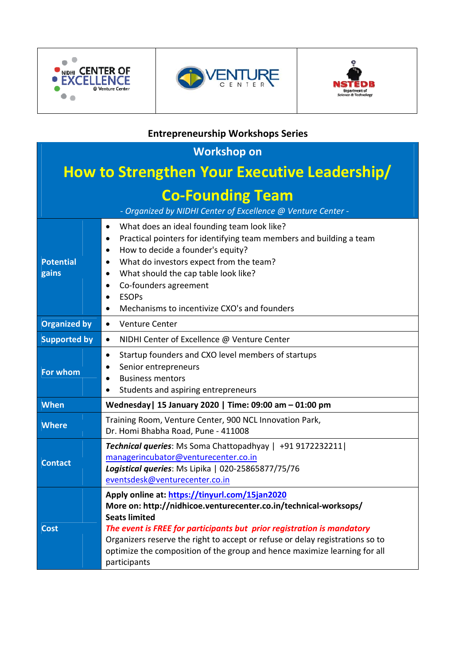





# **Entrepreneurship Workshops Series**

| <b>Workshop on</b>                                                                      |                                                                                                                                                                                                                                                                                                                                                                                                        |  |  |  |
|-----------------------------------------------------------------------------------------|--------------------------------------------------------------------------------------------------------------------------------------------------------------------------------------------------------------------------------------------------------------------------------------------------------------------------------------------------------------------------------------------------------|--|--|--|
| <b>How to Strengthen Your Executive Leadership/</b>                                     |                                                                                                                                                                                                                                                                                                                                                                                                        |  |  |  |
| <b>Co-Founding Team</b><br>- Organized by NIDHI Center of Excellence @ Venture Center - |                                                                                                                                                                                                                                                                                                                                                                                                        |  |  |  |
| <b>Potential</b><br>gains                                                               | What does an ideal founding team look like?<br>$\bullet$<br>Practical pointers for identifying team members and building a team<br>٠<br>How to decide a founder's equity?<br>٠<br>What do investors expect from the team?<br>$\bullet$<br>What should the cap table look like?<br>$\bullet$<br>Co-founders agreement<br>٠<br><b>ESOPs</b><br>Mechanisms to incentivize CXO's and founders<br>$\bullet$ |  |  |  |
| <b>Organized by</b>                                                                     | <b>Venture Center</b><br>$\bullet$                                                                                                                                                                                                                                                                                                                                                                     |  |  |  |
| <b>Supported by</b>                                                                     | NIDHI Center of Excellence @ Venture Center<br>$\bullet$                                                                                                                                                                                                                                                                                                                                               |  |  |  |
| For whom                                                                                | Startup founders and CXO level members of startups<br>$\bullet$<br>Senior entrepreneurs<br>٠<br><b>Business mentors</b><br>$\bullet$<br>Students and aspiring entrepreneurs<br>٠                                                                                                                                                                                                                       |  |  |  |
| <b>When</b>                                                                             | Wednesday   15 January 2020   Time: 09:00 am - 01:00 pm                                                                                                                                                                                                                                                                                                                                                |  |  |  |
| <b>Where</b>                                                                            | Training Room, Venture Center, 900 NCL Innovation Park,<br>Dr. Homi Bhabha Road, Pune - 411008                                                                                                                                                                                                                                                                                                         |  |  |  |
| <b>Contact</b>                                                                          | <b>Technical queries:</b> Ms Soma Chattopadhyay   +91 9172232211  <br>managerincubator@venturecenter.co.in<br>Logistical queries: Ms Lipika   020-25865877/75/76<br>eventsdesk@venturecenter.co.in                                                                                                                                                                                                     |  |  |  |
| <b>Cost</b>                                                                             | Apply online at: https://tinyurl.com/15jan2020<br>More on: http://nidhicoe.venturecenter.co.in/technical-worksops/<br><b>Seats limited</b><br>The event is FREE for participants but prior registration is mandatory<br>Organizers reserve the right to accept or refuse or delay registrations so to<br>optimize the composition of the group and hence maximize learning for all<br>participants     |  |  |  |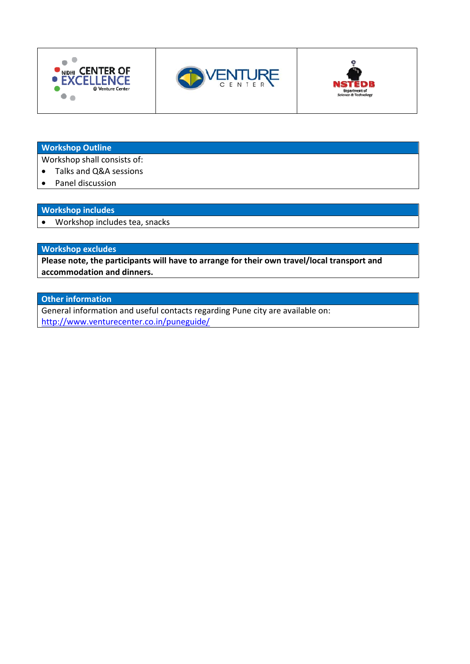





#### **Workshop Outline**

Workshop shall consists of:

- Talks and Q&A sessions  $\bullet$
- Panel discussion  $\bullet$

## **Workshop includes**

• Workshop includes tea, snacks

#### **Workshop excludes**

Please note, the participants will have to arrange for their own travel/local transport and accommodation and dinners.

## **Other information**

General information and useful contacts regarding Pune city are available on: http://www.venturecenter.co.in/puneguide/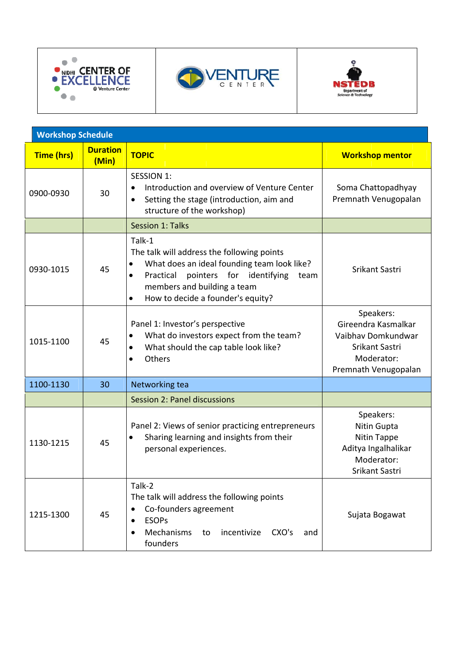





| <b>Workshop Schedule</b> |                          |                                                                                                                                                                                                                                                                 |                                                                                                                |
|--------------------------|--------------------------|-----------------------------------------------------------------------------------------------------------------------------------------------------------------------------------------------------------------------------------------------------------------|----------------------------------------------------------------------------------------------------------------|
| <b>Time (hrs)</b>        | <b>Duration</b><br>(Min) | <b>TOPIC</b>                                                                                                                                                                                                                                                    | <b>Workshop mentor</b>                                                                                         |
| 0900-0930                | 30                       | <b>SESSION 1:</b><br>Introduction and overview of Venture Center<br>Setting the stage (introduction, aim and<br>structure of the workshop)                                                                                                                      | Soma Chattopadhyay<br>Premnath Venugopalan                                                                     |
|                          |                          | <b>Session 1: Talks</b>                                                                                                                                                                                                                                         |                                                                                                                |
| 0930-1015                | 45                       | Talk-1<br>The talk will address the following points<br>What does an ideal founding team look like?<br>$\bullet$<br>Practical<br>pointers for identifying<br>$\bullet$<br>team<br>members and building a team<br>How to decide a founder's equity?<br>$\bullet$ | Srikant Sastri                                                                                                 |
| 1015-1100                | 45                       | Panel 1: Investor's perspective<br>What do investors expect from the team?<br>$\bullet$<br>What should the cap table look like?<br>$\bullet$<br>Others<br>$\bullet$                                                                                             | Speakers:<br>Gireendra Kasmalkar<br>Vaibhav Domkundwar<br>Srikant Sastri<br>Moderator:<br>Premnath Venugopalan |
| 1100-1130                | 30                       | Networking tea                                                                                                                                                                                                                                                  |                                                                                                                |
|                          |                          | <b>Session 2: Panel discussions</b>                                                                                                                                                                                                                             |                                                                                                                |
| 1130-1215                | 45                       | Panel 2: Views of senior practicing entrepreneurs<br>Sharing learning and insights from their<br>personal experiences.                                                                                                                                          | Speakers:<br>Nitin Gupta<br>Nitin Tappe<br>Aditya Ingalhalikar<br>Moderator:<br>Srikant Sastri                 |
| 1215-1300                | 45                       | Talk-2<br>The talk will address the following points<br>Co-founders agreement<br><b>ESOPs</b><br>Mechanisms<br>incentivize<br>CXO's<br>to<br>and<br>founders                                                                                                    | Sujata Bogawat                                                                                                 |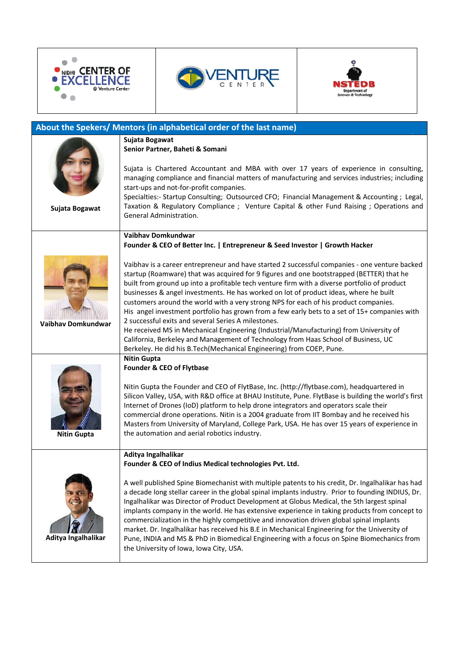





| About the Spekers/ Mentors (in alphabetical order of the last name) |                                                                                                                                                                                                                                                                                                                                                                                                                                                                                                                                                                                                                                                                                                                                                                                                                                                                                            |
|---------------------------------------------------------------------|--------------------------------------------------------------------------------------------------------------------------------------------------------------------------------------------------------------------------------------------------------------------------------------------------------------------------------------------------------------------------------------------------------------------------------------------------------------------------------------------------------------------------------------------------------------------------------------------------------------------------------------------------------------------------------------------------------------------------------------------------------------------------------------------------------------------------------------------------------------------------------------------|
|                                                                     | Sujata Bogawat<br>Senior Partner, Baheti & Somani                                                                                                                                                                                                                                                                                                                                                                                                                                                                                                                                                                                                                                                                                                                                                                                                                                          |
|                                                                     | Sujata is Chartered Accountant and MBA with over 17 years of experience in consulting,<br>managing compliance and financial matters of manufacturing and services industries; including<br>start-ups and not-for-profit companies.                                                                                                                                                                                                                                                                                                                                                                                                                                                                                                                                                                                                                                                         |
| Sujata Bogawat                                                      | Specialties:- Startup Consulting; Outsourced CFO; Financial Management & Accounting; Legal,<br>Taxation & Regulatory Compliance ; Venture Capital & other Fund Raising ; Operations and<br><b>General Administration.</b>                                                                                                                                                                                                                                                                                                                                                                                                                                                                                                                                                                                                                                                                  |
|                                                                     | Vaibhav Domkundwar<br>Founder & CEO of Better Inc.   Entrepreneur & Seed Investor   Growth Hacker                                                                                                                                                                                                                                                                                                                                                                                                                                                                                                                                                                                                                                                                                                                                                                                          |
| <b>Vaibhav Domkundwar</b>                                           | Vaibhav is a career entrepreneur and have started 2 successful companies - one venture backed<br>startup (Roamware) that was acquired for 9 figures and one bootstrapped (BETTER) that he<br>built from ground up into a profitable tech venture firm with a diverse portfolio of product<br>businesses & angel investments. He has worked on lot of product ideas, where he built<br>customers around the world with a very strong NPS for each of his product companies.<br>His angel investment portfolio has grown from a few early bets to a set of 15+ companies with<br>2 successful exits and several Series A milestones.<br>He received MS in Mechanical Engineering (Industrial/Manufacturing) from University of<br>California, Berkeley and Management of Technology from Haas School of Business, UC<br>Berkeley. He did his B.Tech(Mechanical Engineering) from COEP, Pune. |
|                                                                     | <b>Nitin Gupta</b><br>Founder & CEO of Flytbase                                                                                                                                                                                                                                                                                                                                                                                                                                                                                                                                                                                                                                                                                                                                                                                                                                            |
| <b>Nitin Gupta</b>                                                  | Nitin Gupta the Founder and CEO of FlytBase, Inc. (http://flytbase.com), headquartered in<br>Silicon Valley, USA, with R&D office at BHAU Institute, Pune. FlytBase is building the world's first<br>Internet of Drones (IoD) platform to help drone integrators and operators scale their<br>commercial drone operations. Nitin is a 2004 graduate from IIT Bombay and he received his<br>Masters from University of Maryland, College Park, USA. He has over 15 years of experience in<br>the automation and aerial robotics industry.                                                                                                                                                                                                                                                                                                                                                   |
|                                                                     | Aditya Ingalhalikar<br>Founder & CEO of Indius Medical technologies Pvt. Ltd.                                                                                                                                                                                                                                                                                                                                                                                                                                                                                                                                                                                                                                                                                                                                                                                                              |
| Aditya Ingalhalikar                                                 | A well published Spine Biomechanist with multiple patents to his credit, Dr. Ingalhalikar has had<br>a decade long stellar career in the global spinal implants industry. Prior to founding INDIUS, Dr.<br>Ingalhalikar was Director of Product Development at Globus Medical, the 5th largest spinal<br>implants company in the world. He has extensive experience in taking products from concept to<br>commercialization in the highly competitive and innovation driven global spinal implants<br>market. Dr. Ingalhalikar has received his B.E in Mechanical Engineering for the University of<br>Pune, INDIA and MS & PhD in Biomedical Engineering with a focus on Spine Biomechanics from<br>the University of Iowa, Iowa City, USA.                                                                                                                                               |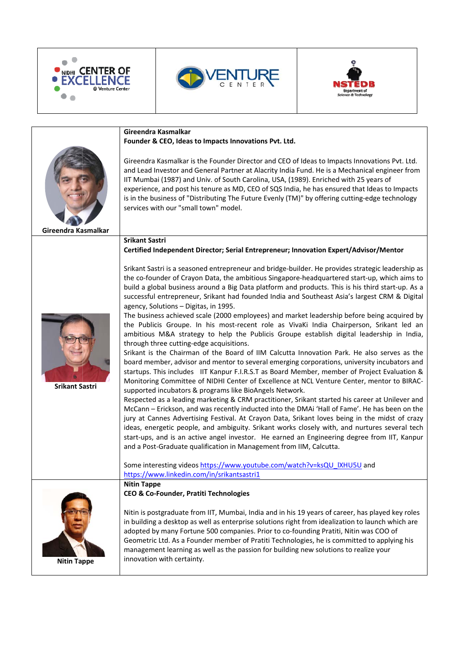





| Gireendra Kasmalkar<br>Founder & CEO, Ideas to Impacts Innovations Pvt. Ltd.                                                                                                                                                                                                                                                                                                                                                                                                                                                                                                                                                                                                                                                                                                                                                                                                                                                                                                                                                                                                                                                                                                                                                                                                                                                                                                                                                                                                                                                                                                                                                                                                                                                                                                                                               |
|----------------------------------------------------------------------------------------------------------------------------------------------------------------------------------------------------------------------------------------------------------------------------------------------------------------------------------------------------------------------------------------------------------------------------------------------------------------------------------------------------------------------------------------------------------------------------------------------------------------------------------------------------------------------------------------------------------------------------------------------------------------------------------------------------------------------------------------------------------------------------------------------------------------------------------------------------------------------------------------------------------------------------------------------------------------------------------------------------------------------------------------------------------------------------------------------------------------------------------------------------------------------------------------------------------------------------------------------------------------------------------------------------------------------------------------------------------------------------------------------------------------------------------------------------------------------------------------------------------------------------------------------------------------------------------------------------------------------------------------------------------------------------------------------------------------------------|
| Gireendra Kasmalkar is the Founder Director and CEO of Ideas to Impacts Innovations Pvt. Ltd.<br>and Lead Investor and General Partner at Alacrity India Fund. He is a Mechanical engineer from<br>IIT Mumbai (1987) and Univ. of South Carolina, USA, (1989). Enriched with 25 years of<br>experience, and post his tenure as MD, CEO of SQS India, he has ensured that Ideas to Impacts<br>is in the business of "Distributing The Future Evenly (TM)" by offering cutting-edge technology<br>services with our "small town" model.                                                                                                                                                                                                                                                                                                                                                                                                                                                                                                                                                                                                                                                                                                                                                                                                                                                                                                                                                                                                                                                                                                                                                                                                                                                                                      |
|                                                                                                                                                                                                                                                                                                                                                                                                                                                                                                                                                                                                                                                                                                                                                                                                                                                                                                                                                                                                                                                                                                                                                                                                                                                                                                                                                                                                                                                                                                                                                                                                                                                                                                                                                                                                                            |
| <b>Srikant Sastri</b><br>Certified Independent Director; Serial Entrepreneur; Innovation Expert/Advisor/Mentor                                                                                                                                                                                                                                                                                                                                                                                                                                                                                                                                                                                                                                                                                                                                                                                                                                                                                                                                                                                                                                                                                                                                                                                                                                                                                                                                                                                                                                                                                                                                                                                                                                                                                                             |
| Srikant Sastri is a seasoned entrepreneur and bridge-builder. He provides strategic leadership as<br>the co-founder of Crayon Data, the ambitious Singapore-headquartered start-up, which aims to<br>build a global business around a Big Data platform and products. This is his third start-up. As a<br>successful entrepreneur, Srikant had founded India and Southeast Asia's largest CRM & Digital<br>agency, Solutions - Digitas, in 1995.<br>The business achieved scale (2000 employees) and market leadership before being acquired by<br>the Publicis Groupe. In his most-recent role as VivaKi India Chairperson, Srikant led an<br>ambitious M&A strategy to help the Publicis Groupe establish digital leadership in India,<br>through three cutting-edge acquisitions.<br>Srikant is the Chairman of the Board of IIM Calcutta Innovation Park. He also serves as the<br>board member, advisor and mentor to several emerging corporations, university incubators and<br>startups. This includes IIT Kanpur F.I.R.S.T as Board Member, member of Project Evaluation &<br>Monitoring Committee of NIDHI Center of Excellence at NCL Venture Center, mentor to BIRAC-<br>supported incubators & programs like BioAngels Network.<br>Respected as a leading marketing & CRM practitioner, Srikant started his career at Unilever and<br>McCann - Erickson, and was recently inducted into the DMAi 'Hall of Fame'. He has been on the<br>jury at Cannes Advertising Festival. At Crayon Data, Srikant loves being in the midst of crazy<br>ideas, energetic people, and ambiguity. Srikant works closely with, and nurtures several tech<br>start-ups, and is an active angel investor. He earned an Engineering degree from IIT, Kanpur<br>and a Post-Graduate qualification in Management from IIM, Calcutta. |
|                                                                                                                                                                                                                                                                                                                                                                                                                                                                                                                                                                                                                                                                                                                                                                                                                                                                                                                                                                                                                                                                                                                                                                                                                                                                                                                                                                                                                                                                                                                                                                                                                                                                                                                                                                                                                            |
| Some interesting videos https://www.youtube.com/watch?v=ksQU IXHU5U and<br>https://www.linkedin.com/in/srikantsastri1                                                                                                                                                                                                                                                                                                                                                                                                                                                                                                                                                                                                                                                                                                                                                                                                                                                                                                                                                                                                                                                                                                                                                                                                                                                                                                                                                                                                                                                                                                                                                                                                                                                                                                      |
|                                                                                                                                                                                                                                                                                                                                                                                                                                                                                                                                                                                                                                                                                                                                                                                                                                                                                                                                                                                                                                                                                                                                                                                                                                                                                                                                                                                                                                                                                                                                                                                                                                                                                                                                                                                                                            |
| <b>Nitin Tappe</b><br>CEO & Co-Founder, Pratiti Technologies<br>Nitin is postgraduate from IIT, Mumbai, India and in his 19 years of career, has played key roles<br>in building a desktop as well as enterprise solutions right from idealization to launch which are<br>adopted by many Fortune 500 companies. Prior to co-founding Pratiti, Nitin was COO of<br>Geometric Ltd. As a Founder member of Pratiti Technologies, he is committed to applying his<br>management learning as well as the passion for building new solutions to realize your<br>innovation with certainty.                                                                                                                                                                                                                                                                                                                                                                                                                                                                                                                                                                                                                                                                                                                                                                                                                                                                                                                                                                                                                                                                                                                                                                                                                                      |
|                                                                                                                                                                                                                                                                                                                                                                                                                                                                                                                                                                                                                                                                                                                                                                                                                                                                                                                                                                                                                                                                                                                                                                                                                                                                                                                                                                                                                                                                                                                                                                                                                                                                                                                                                                                                                            |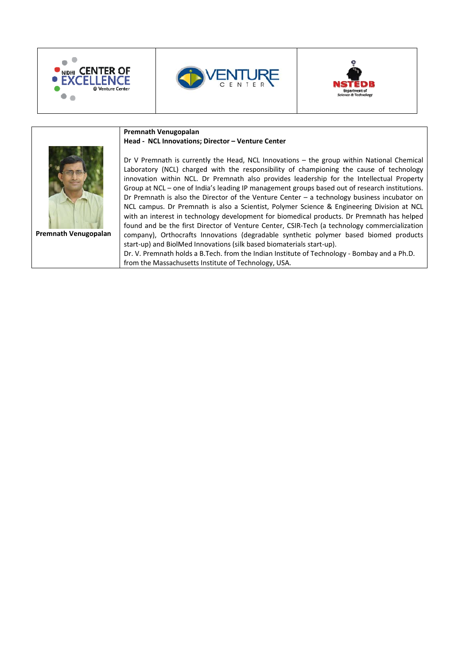





|                      | Premnath Venugopalan                                                                                                                                                                                                                                                                                                                                                                                                                                                                                                                                                                                                                                                                                                                                                                                                                                                                                                                                                                                                                                                                                        |
|----------------------|-------------------------------------------------------------------------------------------------------------------------------------------------------------------------------------------------------------------------------------------------------------------------------------------------------------------------------------------------------------------------------------------------------------------------------------------------------------------------------------------------------------------------------------------------------------------------------------------------------------------------------------------------------------------------------------------------------------------------------------------------------------------------------------------------------------------------------------------------------------------------------------------------------------------------------------------------------------------------------------------------------------------------------------------------------------------------------------------------------------|
|                      | Head - NCL Innovations; Director - Venture Center                                                                                                                                                                                                                                                                                                                                                                                                                                                                                                                                                                                                                                                                                                                                                                                                                                                                                                                                                                                                                                                           |
| Premnath Venugopalan | Dr V Premnath is currently the Head, NCL Innovations - the group within National Chemical<br>Laboratory (NCL) charged with the responsibility of championing the cause of technology<br>innovation within NCL. Dr Premnath also provides leadership for the Intellectual Property<br>Group at NCL - one of India's leading IP management groups based out of research institutions.<br>Dr Premnath is also the Director of the Venture Center $-$ a technology business incubator on<br>NCL campus. Dr Premnath is also a Scientist, Polymer Science & Engineering Division at NCL<br>with an interest in technology development for biomedical products. Dr Premnath has helped<br>found and be the first Director of Venture Center, CSIR-Tech (a technology commercialization<br>company), Orthocrafts Innovations (degradable synthetic polymer based biomed products<br>start-up) and BiolMed Innovations (silk based biomaterials start-up).<br>Dr. V. Premnath holds a B. Tech. from the Indian Institute of Technology - Bombay and a Ph.D.<br>from the Massachusetts Institute of Technology, USA. |